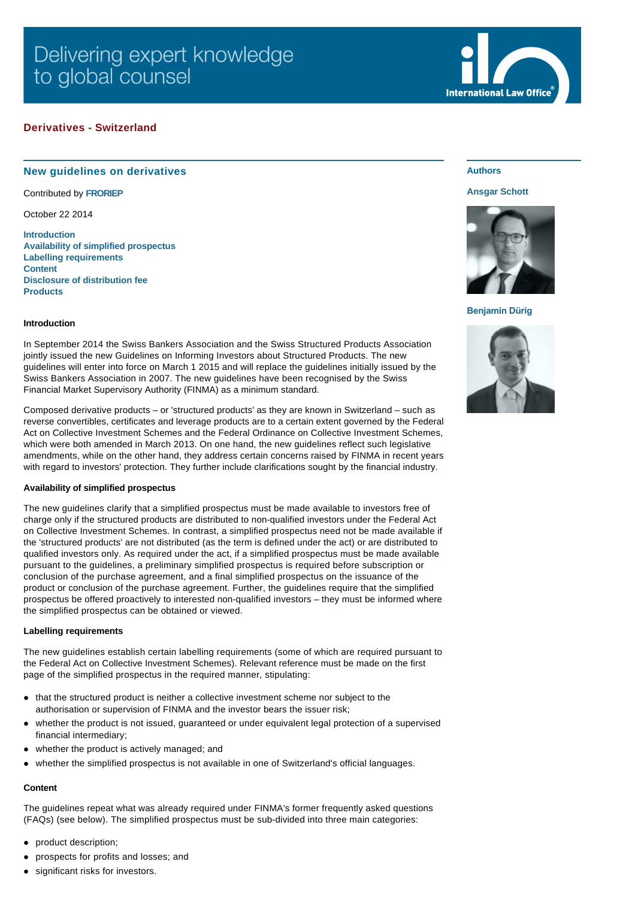# **Derivatives - Switzerland**

## **New guidelines on derivatives**

Contributed by **[FRORIEP](http://www.internationallawoffice.com/gesr.ashx?l=7M89FZ0)**

October 22 2014

**[Introduction](#page-0-0) [Availability of simplified prospectus](#page-0-1) [Labelling requirements](#page-0-2) [Content](#page-0-3) [Disclosure of distribution fee](#page-1-0) [Products](#page-1-1)**

# **Authors**

### **[Ansgar Schott](http://www.internationallawoffice.com/gesr.ashx?l=7M89G1N)**

**International Law Office** 



### **[Benjamin Dürig](http://www.internationallawoffice.com/gesr.ashx?l=7M89FZJ)**



#### <span id="page-0-0"></span>**Introduction**

In September 2014 the Swiss Bankers Association and the Swiss Structured Products Association jointly issued the new Guidelines on Informing Investors about Structured Products. The new guidelines will enter into force on March 1 2015 and will replace the guidelines initially issued by the Swiss Bankers Association in 2007. The new guidelines have been recognised by the Swiss Financial Market Supervisory Authority (FINMA) as a minimum standard.

Composed derivative products – or 'structured products' as they are known in Switzerland – such as reverse convertibles, certificates and leverage products are to a certain extent governed by the Federal Act on Collective Investment Schemes and the Federal Ordinance on Collective Investment Schemes, which were both amended in March 2013. On one hand, the new guidelines reflect such legislative amendments, while on the other hand, they address certain concerns raised by FINMA in recent years with regard to investors' protection. They further include clarifications sought by the financial industry.

#### <span id="page-0-1"></span>**Availability of simplified prospectus**

The new guidelines clarify that a simplified prospectus must be made available to investors free of charge only if the structured products are distributed to non-qualified investors under the Federal Act on Collective Investment Schemes. In contrast, a simplified prospectus need not be made available if the 'structured products' are not distributed (as the term is defined under the act) or are distributed to qualified investors only. As required under the act, if a simplified prospectus must be made available pursuant to the guidelines, a preliminary simplified prospectus is required before subscription or conclusion of the purchase agreement, and a final simplified prospectus on the issuance of the product or conclusion of the purchase agreement. Further, the guidelines require that the simplified prospectus be offered proactively to interested non-qualified investors – they must be informed where the simplified prospectus can be obtained or viewed.

#### <span id="page-0-2"></span>**Labelling requirements**

The new guidelines establish certain labelling requirements (some of which are required pursuant to the Federal Act on Collective Investment Schemes). Relevant reference must be made on the first page of the simplified prospectus in the required manner, stipulating:

- that the structured product is neither a collective investment scheme nor subject to the authorisation or supervision of FINMA and the investor bears the issuer risk;
- whether the product is not issued, guaranteed or under equivalent legal protection of a supervised financial intermediary;
- whether the product is actively managed; and
- whether the simplified prospectus is not available in one of Switzerland's official languages.

#### <span id="page-0-3"></span>**Content**

The guidelines repeat what was already required under FINMA's former frequently asked questions (FAQs) (see below). The simplified prospectus must be sub-divided into three main categories:

- product description;
- prospects for profits and losses; and
- significant risks for investors.